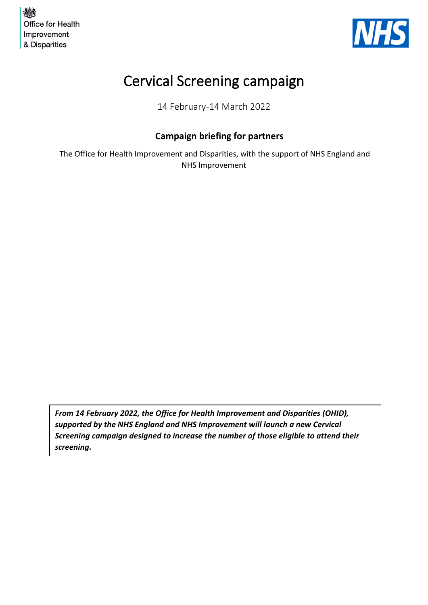



# Cervical Screening campaign

14 February-14 March 2022

# **Campaign briefing for partners**

The Office for Health Improvement and Disparities, with the support of NHS England and NHS Improvement

*From 14 February 2022, the Office for Health Improvement and Disparities (OHID), supported by the NHS England and NHS Improvement will launch a new Cervical Screening campaign designed to increase the number of those eligible to attend their screening.*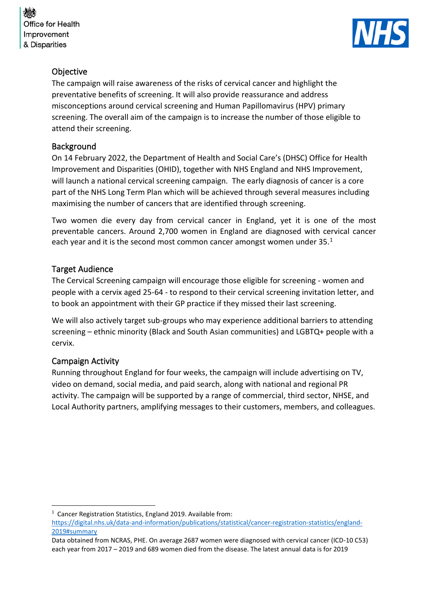Office for Health Improvement & Disparities



## Objective

The campaign will raise awareness of the risks of cervical cancer and highlight the preventative benefits of screening. It will also provide reassurance and address misconceptions around cervical screening and Human Papillomavirus (HPV) primary screening. The overall aim of the campaign is to increase the number of those eligible to attend their screening.

# Background

On 14 February 2022, the Department of Health and Social Care's (DHSC) Office for Health Improvement and Disparities (OHID), together with NHS England and NHS Improvement, will launch a national cervical screening campaign. The early diagnosis of cancer is a core part of the NHS Long Term Plan which will be achieved through several measures including maximising the number of cancers that are identified through screening.

Two women die every day from cervical cancer in England, yet it is one of the most preventable cancers. Around 2,700 women in England are diagnosed with cervical cancer each year and it is the second most common cancer amongst women under 35. $<sup>1</sup>$ </sup>

# Target Audience

The Cervical Screening campaign will encourage those eligible for screening - women and people with a cervix aged 25-64 - to respond to their cervical screening invitation letter, and to book an appointment with their GP practice if they missed their last screening.

We will also actively target sub-groups who may experience additional barriers to attending screening – ethnic minority (Black and South Asian communities) and LGBTQ+ people with a cervix.

## Campaign Activity

Running throughout England for four weeks, the campaign will include advertising on TV, video on demand, social media, and paid search, along with national and regional PR activity. The campaign will be supported by a range of commercial, third sector, NHSE, and Local Authority partners, amplifying messages to their customers, members, and colleagues.

<sup>1</sup> Cancer Registration Statistics, England 2019. Available from:

Data obtained from NCRAS, PHE. On average 2687 women were diagnosed with cervical cancer (ICD-10 C53) each year from 2017 – 2019 and 689 women died from the disease. The latest annual data is for 2019

[https://digital.nhs.uk/data-and-information/publications/statistical/cancer-registration-statistics/england-](https://digital.nhs.uk/data-and-information/publications/statistical/cancer-registration-statistics/england-2019#summary)[2019#summary](https://digital.nhs.uk/data-and-information/publications/statistical/cancer-registration-statistics/england-2019#summary)